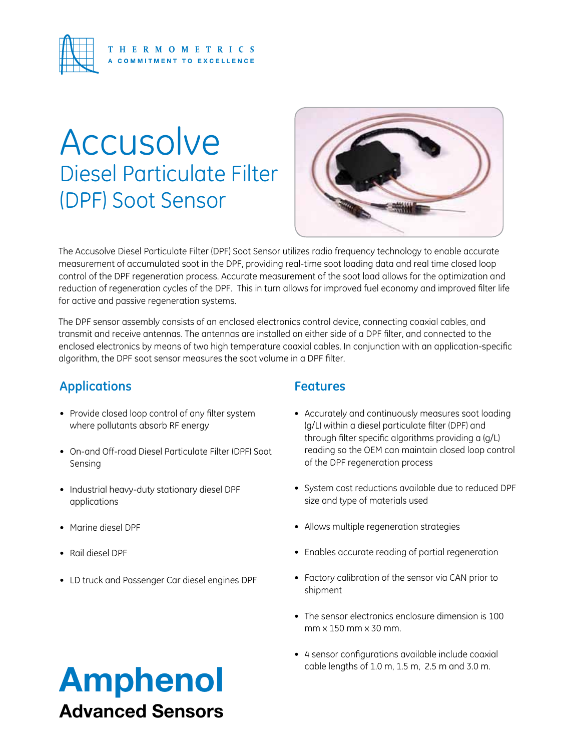

# **Accusolve** Diesel Particulate Filter (DPF) Soot Sensor



The Accusolve Diesel Particulate Filter (DPF) Soot Sensor utilizes radio frequency technology to enable accurate measurement of accumulated soot in the DPF, providing real-time soot loading data and real time closed loop control of the DPF regeneration process. Accurate measurement of the soot load allows for the optimization and reduction of regeneration cycles of the DPF. This in turn allows for improved fuel economy and improved filter life for active and passive regeneration systems.

The DPF sensor assembly consists of an enclosed electronics control device, connecting coaxial cables, and transmit and receive antennas. The antennas are installed on either side of a DPF filter, and connected to the enclosed electronics by means of two high temperature coaxial cables. In conjunction with an application-specific algorithm, the DPF soot sensor measures the soot volume in a DPF filter.

## **Applications**

- Provide closed loop control of any filter system where pollutants absorb RF energy
- On-and Off-road Diesel Particulate Filter (DPF) Soot Sensing
- • Industrial heavy-duty stationary diesel DPF applications
- • Marine diesel DPF
- • Rail diesel DPF
- • LD truck and Passenger Car diesel engines DPF

### **Features**

- Accurately and continuously measures soot loading (g/L) within a diesel particulate filter (DPF) and through filter specific algorithms providing a (g/L) reading so the OEM can maintain closed loop control of the DPF regeneration process
- System cost reductions available due to reduced DPF size and type of materials used
- Allows multiple regeneration strategies
- Enables accurate reading of partial regeneration
- Factory calibration of the sensor via CAN prior to shipment
- The sensor electronics enclosure dimension is 100  $mm \times 150$  mm  $\times 30$  mm.
- • 4 sensor configurations available include coaxial

# cable lengths of 1.0 m, 1.5 m, 2.5 m and 3.0 m. Advanced Sensors